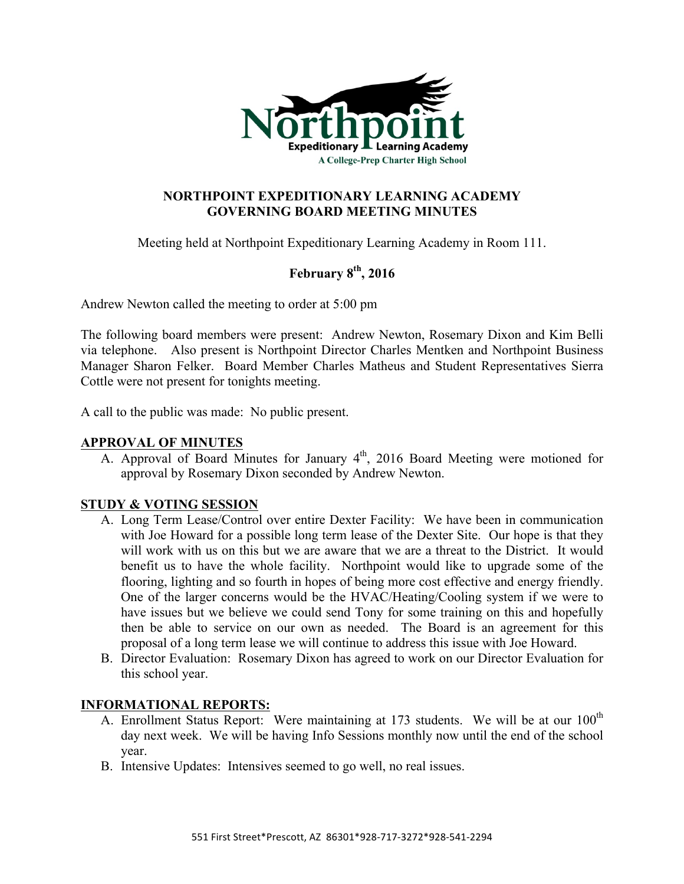

## **NORTHPOINT EXPEDITIONARY LEARNING ACADEMY GOVERNING BOARD MEETING MINUTES**

Meeting held at Northpoint Expeditionary Learning Academy in Room 111.

# **February 8th, 2016**

Andrew Newton called the meeting to order at 5:00 pm

The following board members were present: Andrew Newton, Rosemary Dixon and Kim Belli via telephone. Also present is Northpoint Director Charles Mentken and Northpoint Business Manager Sharon Felker. Board Member Charles Matheus and Student Representatives Sierra Cottle were not present for tonights meeting.

A call to the public was made: No public present.

#### **APPROVAL OF MINUTES**

A. Approval of Board Minutes for January 4<sup>th</sup>, 2016 Board Meeting were motioned for approval by Rosemary Dixon seconded by Andrew Newton.

## **STUDY & VOTING SESSION**

- A. Long Term Lease/Control over entire Dexter Facility: We have been in communication with Joe Howard for a possible long term lease of the Dexter Site. Our hope is that they will work with us on this but we are aware that we are a threat to the District. It would benefit us to have the whole facility. Northpoint would like to upgrade some of the flooring, lighting and so fourth in hopes of being more cost effective and energy friendly. One of the larger concerns would be the HVAC/Heating/Cooling system if we were to have issues but we believe we could send Tony for some training on this and hopefully then be able to service on our own as needed. The Board is an agreement for this proposal of a long term lease we will continue to address this issue with Joe Howard.
- B. Director Evaluation: Rosemary Dixon has agreed to work on our Director Evaluation for this school year.

## **INFORMATIONAL REPORTS:**

- A. Enrollment Status Report: Were maintaining at 173 students. We will be at our  $100<sup>th</sup>$ day next week. We will be having Info Sessions monthly now until the end of the school year.
- B. Intensive Updates: Intensives seemed to go well, no real issues.